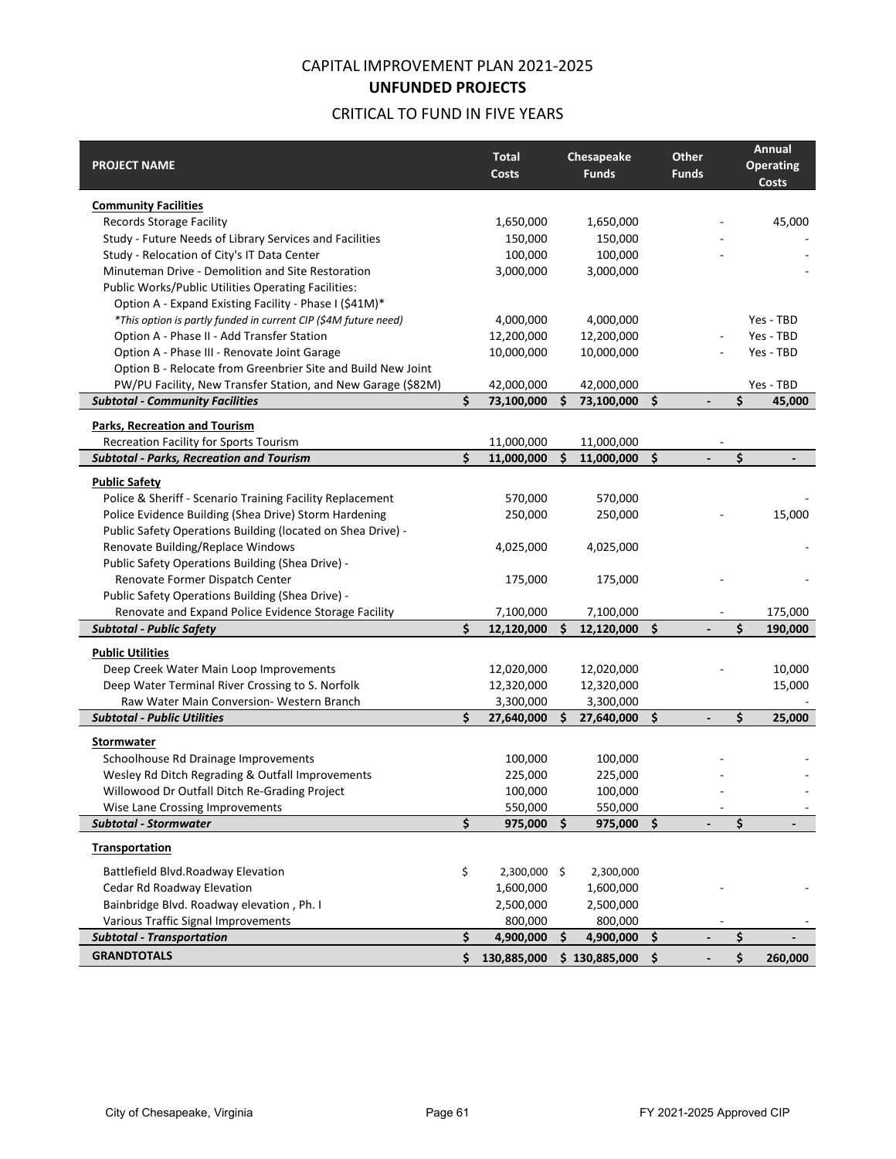# CAPITAL IMPROVEMENT PLAN 2021-2025 **UNFUNDED PROJECTS**

# CRITICAL TO FUND IN FIVE YEARS

| <b>PROJECT NAME</b>                                                                               |    | <b>Total</b><br><b>Costs</b> |    | Chesapeake<br><b>Funds</b> |     | Other<br><b>Funds</b>    | Annual<br><b>Operating</b> |
|---------------------------------------------------------------------------------------------------|----|------------------------------|----|----------------------------|-----|--------------------------|----------------------------|
|                                                                                                   |    |                              |    |                            |     |                          | <b>Costs</b>               |
| <b>Community Facilities</b>                                                                       |    |                              |    |                            |     |                          |                            |
| <b>Records Storage Facility</b>                                                                   |    | 1,650,000                    |    | 1,650,000                  |     |                          | 45,000                     |
| Study - Future Needs of Library Services and Facilities                                           |    | 150,000                      |    | 150,000                    |     |                          |                            |
| Study - Relocation of City's IT Data Center                                                       |    | 100,000                      |    | 100,000                    |     |                          |                            |
| Minuteman Drive - Demolition and Site Restoration                                                 |    | 3,000,000                    |    | 3,000,000                  |     |                          |                            |
| Public Works/Public Utilities Operating Facilities:                                               |    |                              |    |                            |     |                          |                            |
| Option A - Expand Existing Facility - Phase I (\$41M)*                                            |    |                              |    |                            |     |                          |                            |
| *This option is partly funded in current CIP (\$4M future need)                                   |    | 4,000,000                    |    | 4,000,000                  |     |                          | Yes - TBD                  |
| Option A - Phase II - Add Transfer Station                                                        |    | 12,200,000                   |    | 12,200,000                 |     |                          | Yes - TBD                  |
| Option A - Phase III - Renovate Joint Garage                                                      |    | 10,000,000                   |    | 10,000,000                 |     |                          | Yes - TBD                  |
| Option B - Relocate from Greenbrier Site and Build New Joint                                      |    |                              |    |                            |     |                          |                            |
| PW/PU Facility, New Transfer Station, and New Garage (\$82M)                                      |    | 42,000,000                   |    | 42,000,000                 |     |                          | Yes - TBD                  |
| <b>Subtotal - Community Facilities</b>                                                            | Ś  | 73,100,000                   | Ś. | 73,100,000                 | \$  | $\overline{\phantom{a}}$ | \$<br>45,000               |
| Parks, Recreation and Tourism                                                                     |    |                              |    |                            |     |                          |                            |
| Recreation Facility for Sports Tourism                                                            |    | 11,000,000                   |    | 11,000,000                 |     |                          |                            |
| <b>Subtotal - Parks, Recreation and Tourism</b>                                                   | Ś  | 11,000,000                   | Ś. | 11,000,000                 | \$  |                          | \$                         |
| <b>Public Safety</b>                                                                              |    |                              |    |                            |     |                          |                            |
| Police & Sheriff - Scenario Training Facility Replacement                                         |    | 570,000                      |    | 570,000                    |     |                          |                            |
| Police Evidence Building (Shea Drive) Storm Hardening                                             |    | 250,000                      |    | 250,000                    |     |                          | 15,000                     |
| Public Safety Operations Building (located on Shea Drive) -                                       |    |                              |    |                            |     |                          |                            |
| Renovate Building/Replace Windows                                                                 |    | 4,025,000                    |    | 4,025,000                  |     |                          |                            |
| Public Safety Operations Building (Shea Drive) -                                                  |    |                              |    |                            |     |                          |                            |
| Renovate Former Dispatch Center                                                                   |    | 175,000                      |    | 175,000                    |     |                          |                            |
| Public Safety Operations Building (Shea Drive) -                                                  |    |                              |    |                            |     |                          |                            |
| Renovate and Expand Police Evidence Storage Facility                                              |    | 7,100,000                    |    | 7,100,000                  |     |                          | 175,000                    |
| <b>Subtotal - Public Safety</b>                                                                   | \$ | 12,120,000                   | Ś. | 12,120,000 \$              |     |                          | \$<br>190,000              |
| <b>Public Utilities</b>                                                                           |    |                              |    |                            |     |                          |                            |
| Deep Creek Water Main Loop Improvements                                                           |    | 12,020,000                   |    | 12,020,000                 |     |                          | 10,000                     |
| Deep Water Terminal River Crossing to S. Norfolk                                                  |    | 12,320,000                   |    | 12,320,000                 |     |                          | 15,000                     |
| Raw Water Main Conversion- Western Branch                                                         |    | 3,300,000                    |    | 3,300,000                  |     |                          |                            |
| <b>Subtotal - Public Utilities</b>                                                                | \$ | 27,640,000                   | \$ | 27,640,000                 | \$  |                          | \$<br>25,000               |
|                                                                                                   |    |                              |    |                            |     |                          |                            |
| Stormwater<br>Schoolhouse Rd Drainage Improvements                                                |    | 100,000                      |    | 100,000                    |     |                          |                            |
|                                                                                                   |    |                              |    | 225,000                    |     |                          |                            |
| Wesley Rd Ditch Regrading & Outfall Improvements<br>Willowood Dr Outfall Ditch Re-Grading Project |    | 225,000<br>100,000           |    | 100,000                    |     |                          |                            |
|                                                                                                   |    |                              |    |                            |     |                          |                            |
| Wise Lane Crossing Improvements<br><b>Subtotal - Stormwater</b>                                   | \$ | 550,000<br>975,000           | \$ | 550,000<br>975,000 \$      |     |                          | \$                         |
|                                                                                                   |    |                              |    |                            |     |                          |                            |
| Transportation                                                                                    |    |                              |    |                            |     |                          |                            |
| Battlefield Blvd.Roadway Elevation                                                                | \$ | 2,300,000 \$                 |    | 2,300,000                  |     |                          |                            |
| Cedar Rd Roadway Elevation                                                                        |    | 1,600,000                    |    | 1,600,000                  |     |                          |                            |
| Bainbridge Blvd. Roadway elevation, Ph. I                                                         |    | 2,500,000                    |    | 2,500,000                  |     |                          |                            |
| Various Traffic Signal Improvements                                                               |    | 800,000                      |    | 800,000                    |     |                          |                            |
| <b>Subtotal - Transportation</b>                                                                  | \$ | 4,900,000                    | \$ | 4,900,000                  | -\$ | $\overline{\phantom{0}}$ | \$                         |
| <b>GRANDTOTALS</b>                                                                                | \$ | 130,885,000                  |    | $$130,885,000$$ \$         |     |                          | \$<br>260,000              |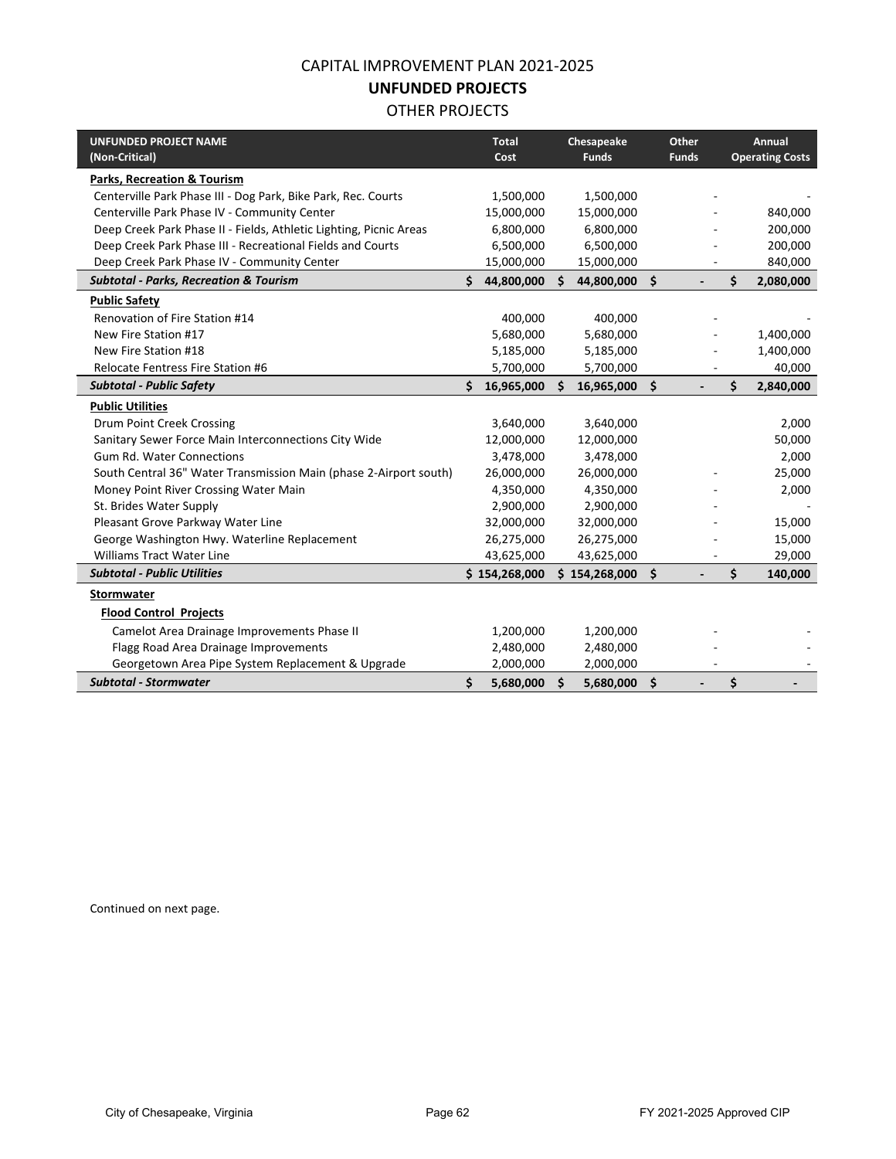## CAPITAL IMPROVEMENT PLAN 2021-2025

#### **UNFUNDED PROJECTS**

#### OTHER PROJECTS

| <b>UNFUNDED PROJECT NAME</b><br>(Non-Critical)                     |    | <b>Total</b><br>Cost |    | Chesapeake<br><b>Funds</b> |     | Other<br><b>Funds</b> | Annual<br><b>Operating Costs</b> |
|--------------------------------------------------------------------|----|----------------------|----|----------------------------|-----|-----------------------|----------------------------------|
| <b>Parks, Recreation &amp; Tourism</b>                             |    |                      |    |                            |     |                       |                                  |
| Centerville Park Phase III - Dog Park, Bike Park, Rec. Courts      |    | 1,500,000            |    | 1,500,000                  |     |                       |                                  |
| Centerville Park Phase IV - Community Center                       |    | 15,000,000           |    | 15,000,000                 |     |                       | 840,000                          |
| Deep Creek Park Phase II - Fields, Athletic Lighting, Picnic Areas |    | 6,800,000            |    | 6,800,000                  |     |                       | 200,000                          |
| Deep Creek Park Phase III - Recreational Fields and Courts         |    | 6,500,000            |    | 6,500,000                  |     |                       | 200,000                          |
| Deep Creek Park Phase IV - Community Center                        |    | 15,000,000           |    | 15,000,000                 |     |                       | 840,000                          |
| <b>Subtotal - Parks, Recreation &amp; Tourism</b>                  | Ś. | 44,800,000           | Ś. | 44,800,000                 | \$  |                       | \$<br>2,080,000                  |
| <b>Public Safety</b>                                               |    |                      |    |                            |     |                       |                                  |
| Renovation of Fire Station #14                                     |    | 400,000              |    | 400,000                    |     |                       |                                  |
| New Fire Station #17                                               |    | 5,680,000            |    | 5,680,000                  |     |                       | 1,400,000                        |
| New Fire Station #18                                               |    | 5,185,000            |    | 5,185,000                  |     |                       | 1,400,000                        |
| <b>Relocate Fentress Fire Station #6</b>                           |    | 5,700,000            |    | 5,700,000                  |     |                       | 40,000                           |
| <b>Subtotal - Public Safety</b>                                    | Ś  | 16,965,000           | Ś. | 16,965,000                 | \$  |                       | \$<br>2,840,000                  |
| <b>Public Utilities</b>                                            |    |                      |    |                            |     |                       |                                  |
| Drum Point Creek Crossing                                          |    | 3,640,000            |    | 3,640,000                  |     |                       | 2,000                            |
| Sanitary Sewer Force Main Interconnections City Wide               |    | 12,000,000           |    | 12,000,000                 |     |                       | 50,000                           |
| <b>Gum Rd. Water Connections</b>                                   |    | 3,478,000            |    | 3,478,000                  |     |                       | 2,000                            |
| South Central 36" Water Transmission Main (phase 2-Airport south)  |    | 26,000,000           |    | 26,000,000                 |     |                       | 25,000                           |
| Money Point River Crossing Water Main                              |    | 4,350,000            |    | 4,350,000                  |     |                       | 2,000                            |
| St. Brides Water Supply                                            |    | 2,900,000            |    | 2,900,000                  |     |                       |                                  |
| Pleasant Grove Parkway Water Line                                  |    | 32,000,000           |    | 32,000,000                 |     |                       | 15,000                           |
| George Washington Hwy. Waterline Replacement                       |    | 26,275,000           |    | 26,275,000                 |     |                       | 15,000                           |
| <b>Williams Tract Water Line</b>                                   |    | 43,625,000           |    | 43,625,000                 |     |                       | 29,000                           |
| <b>Subtotal - Public Utilities</b>                                 |    | \$154,268,000        |    | \$154,268,000              | \$  |                       | \$<br>140,000                    |
| Stormwater                                                         |    |                      |    |                            |     |                       |                                  |
| <b>Flood Control Projects</b>                                      |    |                      |    |                            |     |                       |                                  |
| Camelot Area Drainage Improvements Phase II                        |    | 1,200,000            |    | 1,200,000                  |     |                       |                                  |
| Flagg Road Area Drainage Improvements                              |    | 2,480,000            |    | 2,480,000                  |     |                       |                                  |
| Georgetown Area Pipe System Replacement & Upgrade                  |    | 2,000,000            |    | 2,000,000                  |     |                       |                                  |
| <b>Subtotal - Stormwater</b>                                       | \$ | 5,680,000            | \$ | 5,680,000                  | -\$ |                       | \$                               |

Continued on next page.